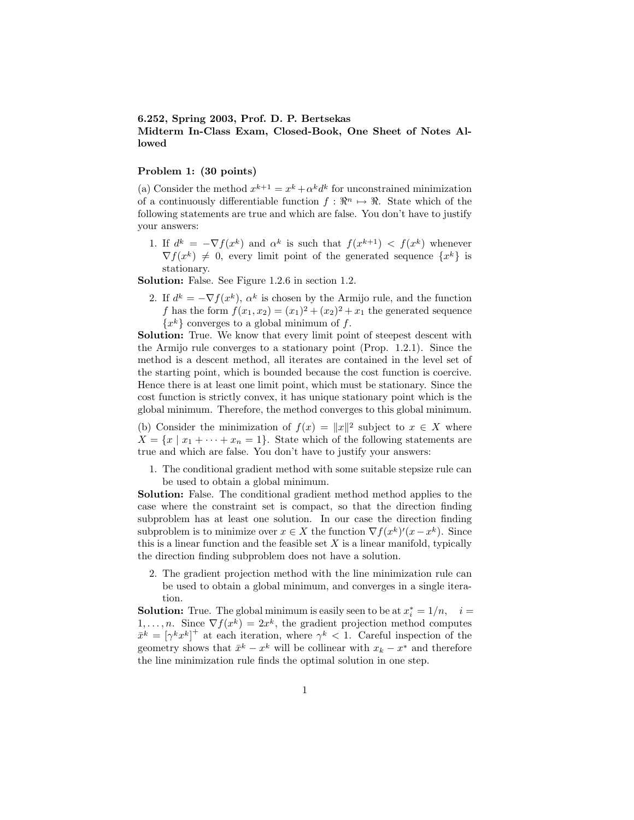## **6.252, Spring 2003, Prof. D. P. Bertsekas Midterm In-Class Exam, Closed-Book, One Sheet of Notes Allowed**

## **Problem 1: (30 points)**

(a) Consider the method  $x^{k+1} = x^k + \alpha^k d^k$  for unconstrained minimization of a continuously differentiable function  $f: \mathbb{R}^n \mapsto \mathbb{R}$ . State which of the following statements are true and which are false. You don't have to justify your answers:

1. If  $d^k = -\nabla f(x^k)$  and  $\alpha^k$  is such that  $f(x^{k+1}) < f(x^k)$  whenever  $\nabla f(x^k) \neq 0$ , every limit point of the generated sequence  $\{x^k\}$  is stationary.

**Solution:** False. See Figure 1.2.6 in section 1.2.

2. If  $d^k = -\nabla f(x^k)$ ,  $\alpha^k$  is chosen by the Armijo rule, and the function *f* has the form  $f(x_1, x_2) = (x_1)^2 + (x_2)^2 + x_1$  the generated sequence  ${x<sup>k</sup>}$  converges to a global minimum of *f*.

**Solution:** True. We know that every limit point of steepest descent with the Armijo rule converges to a stationary point (Prop. 1.2.1). Since the method is a descent method, all iterates are contained in the level set of the starting point, which is bounded because the cost function is coercive. Hence there is at least one limit point, which must be stationary. Since the cost function is strictly convex, it has unique stationary point which is the global minimum. Therefore, the method converges to this global minimum.

(b) Consider the minimization of  $f(x) = ||x||^2$  subject to  $x \in X$  where  $X = \{x \mid x_1 + \cdots + x_n = 1\}.$  State which of the following statements are true and which are false. You don't have to justify your answers:

1. The conditional gradient method with some suitable stepsize rule can be used to obtain a global minimum.

**Solution:** False. The conditional gradient method method applies to the case where the constraint set is compact, so that the direction finding subproblem has at least one solution. In our case the direction finding subproblem is to minimize over  $x \in X$  the function  $\nabla f(x^k)'(x-x^k)$ . Since this is a linear function and the feasible set *X* is a linear manifold, typically the direction finding subproblem does not have a solution.

2. The gradient projection method with the line minimization rule can be used to obtain a global minimum, and converges in a single iteration.

**Solution:** True. The global minimum is easily seen to be at  $x_i^* = 1/n$ ,  $i =$ 1,...,n. Since  $\nabla f(x^k) = 2x^k$ , the gradient projection method computes  $\bar{x}^k = [\gamma^k x^k]^+$  at each iteration, where  $\gamma^k < 1$ . Careful inspection of the geometry shows that  $\bar{x}^k - x^k$  will be collinear with  $x_k - x^*$  and therefore the line minimization rule finds the optimal solution in one step.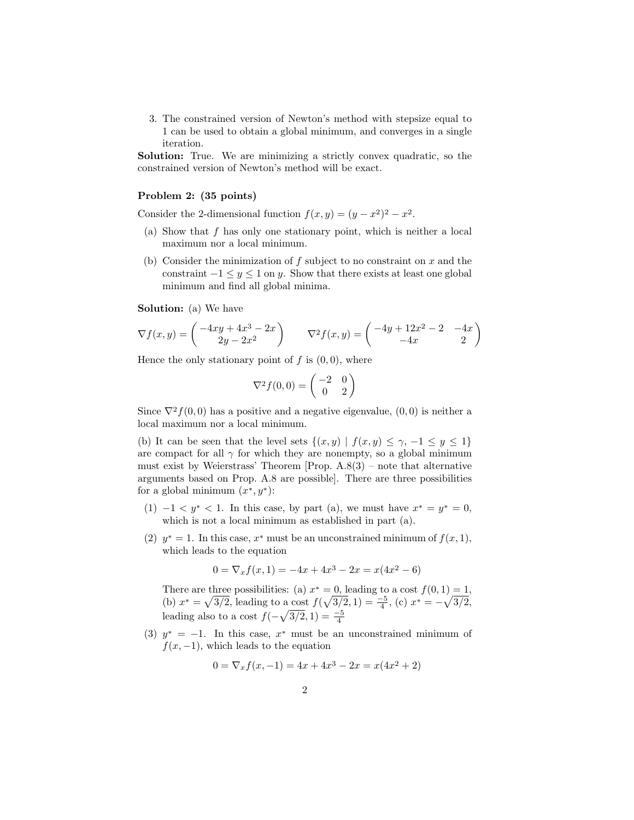3. The constrained version of Newton's method with stepsize equal to 1 can be used to obtain a global minimum, and converges in a single iteration.

**Solution:** True. We are minimizing a strictly convex quadratic, so the constrained version of Newton's method will be exact.

## **Problem 2: (35 points)**

Consider the 2-dimensional function  $f(x, y) = (y - x^2)^2 - x^2$ .

- (a) Show that *f* has only one stationary point, which is neither a local maximum nor a local minimum.
- (b) Consider the minimization of *f* subject to no constraint on *x* and the constraint  $-1 \leq y \leq 1$  on *y*. Show that there exists at least one global minimum and find all global minima.

**Solution:** (a) We have

$$
\nabla f(x,y) = \begin{pmatrix} -4xy + 4x^3 - 2x \\ 2y - 2x^2 \end{pmatrix} \qquad \nabla^2 f(x,y) = \begin{pmatrix} -4y + 12x^2 - 2 & -4x \\ -4x & 2 \end{pmatrix}
$$

Hence the only stationary point of  $f$  is  $(0,0)$ , where

$$
\nabla^2 f(0,0) = \begin{pmatrix} -2 & 0\\ 0 & 2 \end{pmatrix}
$$

Since  $\nabla^2 f(0,0)$  has a positive and a negative eigenvalue,  $(0,0)$  is neither a local maximum nor a local minimum.

(b) It can be seen that the level sets  $\{(x, y) | f(x, y) \leq \gamma, -1 \leq y \leq 1\}$ are compact for all  $\gamma$  for which they are nonempty, so a global minimum must exist by Weierstrass' Theorem [Prop.  $A.8(3)$  – note that alternative arguments based on Prop. A.8 are possible]. There are three possibilities for a global minimum (*x*∗*, y*∗):

- (1)  $-1 < y^* < 1$ . In this case, by part (a), we must have  $x^* = y^* = 0$ , which is not a local minimum as established in part (a).
- (2)  $y^* = 1$ . In this case,  $x^*$  must be an unconstrained minimum of  $f(x, 1)$ , which leads to the equation

$$
0 = \nabla_x f(x, 1) = -4x + 4x^3 - 2x = x(4x^2 - 6)
$$

There are three possibilities: (a)  $x^* = 0$ , leading to a cost  $f(0, 1) = 1$ , (b)  $x^* = \sqrt{3/2}$ , leading to a cost  $f(\sqrt{3/2}, 1) = \frac{-5}{4}$ , (c)  $x^* = -\sqrt{3/2}$ , leading also to a cost  $f(-\sqrt{3/2}, 1) = \frac{-5}{4}$ 

(3)  $y^* = -1$ . In this case,  $x^*$  must be an unconstrained minimum of  $f(x, -1)$ , which leads to the equation

$$
0 = \nabla_x f(x, -1) = 4x + 4x^3 - 2x = x(4x^2 + 2)
$$